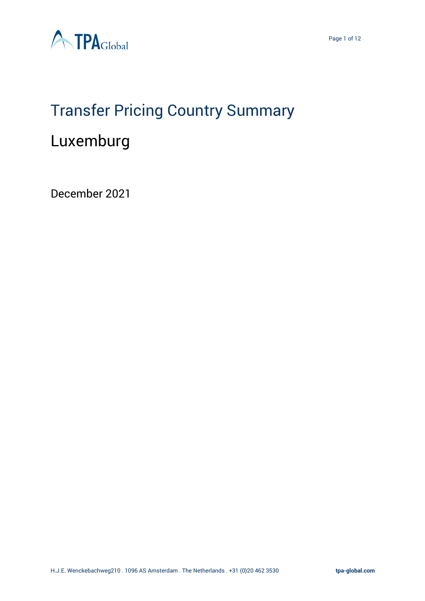

### Transfer Pricing Country Summary

### Luxemburg

December 2021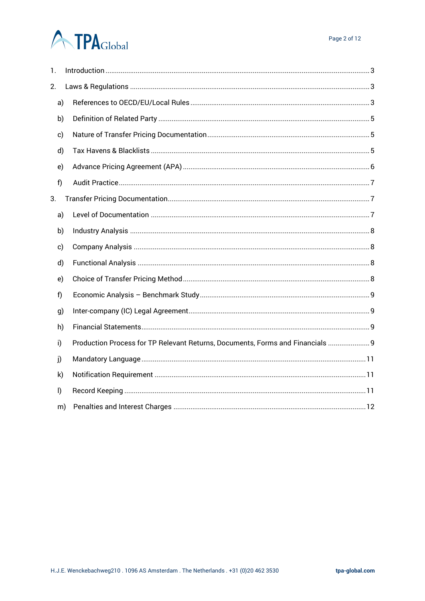## **ATPA**Global

| 1.           |              |                                                                                |
|--------------|--------------|--------------------------------------------------------------------------------|
| 2.           |              |                                                                                |
|              | a)           |                                                                                |
|              | b)           |                                                                                |
|              | c)           |                                                                                |
|              | d)           |                                                                                |
|              | e)           |                                                                                |
| f)           |              |                                                                                |
| 3.           |              |                                                                                |
|              | a)           |                                                                                |
|              | b)           |                                                                                |
|              | c)           |                                                                                |
|              | d)           |                                                                                |
|              | e)           |                                                                                |
| f            |              |                                                                                |
|              | g)           |                                                                                |
|              | h)           |                                                                                |
| i)           |              | Production Process for TP Relevant Returns, Documents, Forms and Financials  9 |
| j)           |              |                                                                                |
|              | $\mathsf{k}$ |                                                                                |
| $\mathsf{I}$ |              |                                                                                |
|              | m)           |                                                                                |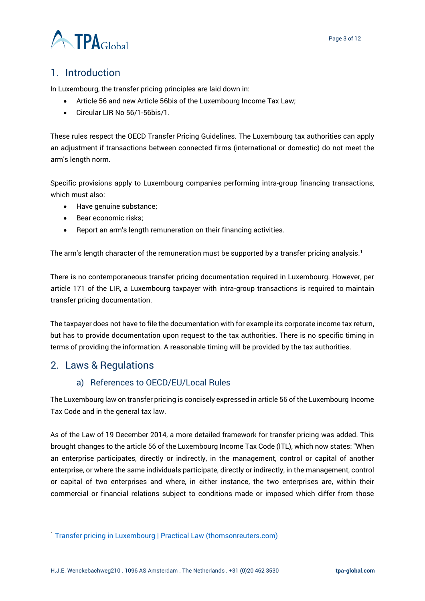

#### <span id="page-2-0"></span>1. Introduction

In Luxembourg, the transfer pricing principles are laid down in:

- Article 56 and new Article 56bis of the Luxembourg Income Tax Law;
- Circular LIR No 56/1-56bis/1.

These rules respect the OECD Transfer Pricing Guidelines. The Luxembourg tax authorities can apply an adjustment if transactions between connected firms (international or domestic) do not meet the arm's length norm.

Specific provisions apply to Luxembourg companies performing intra-group financing transactions, which must also:

- Have genuine substance;
- Bear economic risks;
- Report an arm's length remuneration on their financing activities.

The arm's length character of the remuneration must be supported by a transfer pricing analysis.<sup>1</sup>

There is no contemporaneous transfer pricing documentation required in Luxembourg. However, per article 171 of the LIR, a Luxembourg taxpayer with intra-group transactions is required to maintain transfer pricing documentation.

The taxpayer does not have to file the documentation with for example its corporate income tax return, but has to provide documentation upon request to the tax authorities. There is no specific timing in terms of providing the information. A reasonable timing will be provided by the tax authorities.

#### <span id="page-2-2"></span><span id="page-2-1"></span>2. Laws & Regulations

#### a) References to OECD/EU/Local Rules

The Luxembourg law on transfer pricing is concisely expressed in article 56 of the Luxembourg Income Tax Code and in the general tax law.

As of the Law of 19 December 2014, a more detailed framework for transfer pricing was added. This brought changes to the article 56 of the Luxembourg Income Tax Code (ITL), which now states: "When an enterprise participates, directly or indirectly, in the management, control or capital of another enterprise, or where the same individuals participate, directly or indirectly, in the management, control or capital of two enterprises and where, in either instance, the two enterprises are, within their commercial or financial relations subject to conditions made or imposed which differ from those

<sup>&</sup>lt;sup>1</sup> [Transfer pricing in Luxembourg | Practical Law \(thomsonreuters.com\)](https://uk.practicallaw.thomsonreuters.com/7-637-7922?contextData=(sc.Default)&transitionType=Default&firstPage=true#co_anchor_a131565)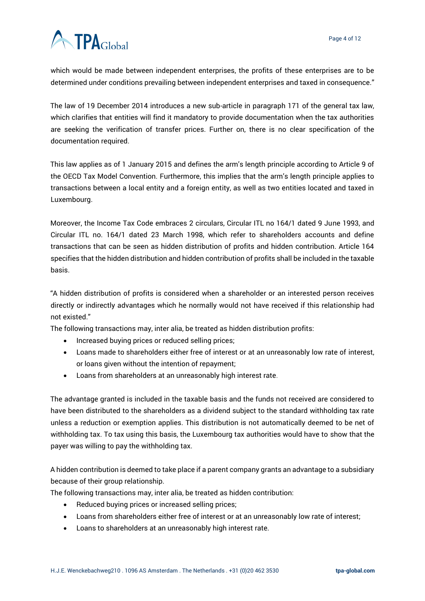# **ATPA**Global

which would be made between independent enterprises, the profits of these enterprises are to be determined under conditions prevailing between independent enterprises and taxed in consequence."

The law of 19 December 2014 introduces a new sub-article in paragraph 171 of the general tax law, which clarifies that entities will find it mandatory to provide documentation when the tax authorities are seeking the verification of transfer prices. Further on, there is no clear specification of the documentation required.

This law applies as of 1 January 2015 and defines the arm's length principle according to Article 9 of the OECD Tax Model Convention. Furthermore, this implies that the arm's length principle applies to transactions between a local entity and a foreign entity, as well as two entities located and taxed in Luxembourg.

Moreover, the Income Tax Code embraces 2 circulars, Circular ITL no 164/1 dated 9 June 1993, and Circular ITL no. 164/1 dated 23 March 1998, which refer to shareholders accounts and define transactions that can be seen as hidden distribution of profits and hidden contribution. Article 164 specifies that the hidden distribution and hidden contribution of profits shall be included in the taxable basis.

"A hidden distribution of profits is considered when a shareholder or an interested person receives directly or indirectly advantages which he normally would not have received if this relationship had not existed."

The following transactions may, inter alia, be treated as hidden distribution profits:

- Increased buying prices or reduced selling prices;
- Loans made to shareholders either free of interest or at an unreasonably low rate of interest, or loans given without the intention of repayment;
- Loans from shareholders at an unreasonably high interest rate.

The advantage granted is included in the taxable basis and the funds not received are considered to have been distributed to the shareholders as a dividend subject to the standard withholding tax rate unless a reduction or exemption applies. This distribution is not automatically deemed to be net of withholding tax. To tax using this basis, the Luxembourg tax authorities would have to show that the payer was willing to pay the withholding tax.

A hidden contribution is deemed to take place if a parent company grants an advantage to a subsidiary because of their group relationship.

The following transactions may, inter alia, be treated as hidden contribution:

- Reduced buying prices or increased selling prices;
- Loans from shareholders either free of interest or at an unreasonably low rate of interest;
- Loans to shareholders at an unreasonably high interest rate.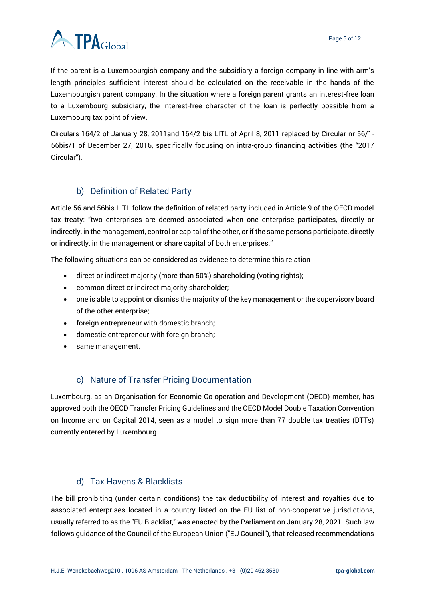

If the parent is a Luxembourgish company and the subsidiary a foreign company in line with arm's length principles sufficient interest should be calculated on the receivable in the hands of the Luxembourgish parent company. In the situation where a foreign parent grants an interest-free loan to a Luxembourg subsidiary, the interest-free character of the loan is perfectly possible from a Luxembourg tax point of view.

Circulars 164/2 of January 28, 2011and 164/2 bis LITL of April 8, 2011 replaced by Circular nr 56/1- 56bis/1 of December 27, 2016, specifically focusing on intra-group financing activities (the "2017 Circular").

#### b) Definition of Related Party

<span id="page-4-0"></span>Article 56 and 56bis LITL follow the definition of related party included in Article 9 of the OECD model tax treaty: "two enterprises are deemed associated when one enterprise participates, directly or indirectly, in the management, control or capital of the other, or if the same persons participate, directly or indirectly, in the management or share capital of both enterprises."

The following situations can be considered as evidence to determine this relation

- direct or indirect majority (more than 50%) shareholding (voting rights);
- common direct or indirect majority shareholder;
- one is able to appoint or dismiss the majority of the key management or the supervisory board of the other enterprise;
- foreign entrepreneur with domestic branch;
- domestic entrepreneur with foreign branch;
- same management.

#### c) Nature of Transfer Pricing Documentation

<span id="page-4-1"></span>Luxembourg, as an Organisation for Economic Co-operation and Development (OECD) member, has approved both the OECD Transfer Pricing Guidelines and the OECD Model Double Taxation Convention on Income and on Capital 2014, seen as a model to sign more than 77 double tax treaties (DTTs) currently entered by Luxembourg.

#### d) Tax Havens & Blacklists

<span id="page-4-2"></span>The bill prohibiting (under certain conditions) the tax deductibility of interest and royalties due to associated enterprises located in a country listed on the EU list of non-cooperative jurisdictions, usually referred to as the "EU Blacklist," was enacted by the Parliament on January 28, 2021. Such law follows guidance of the Council of the European Union ("EU Council"), that released recommendations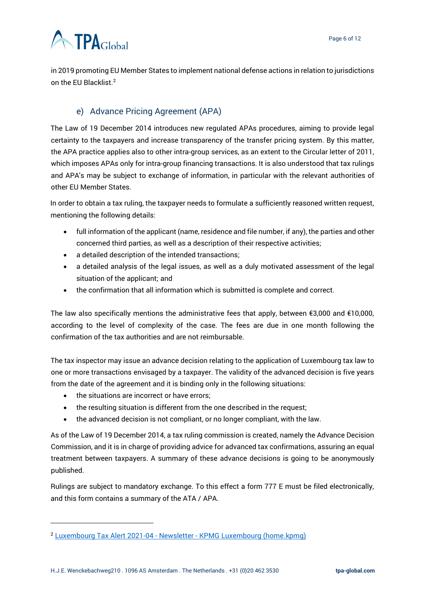in 2019 promoting EU Member States to implement national defense actions in relation to jurisdictions on the EU Blacklist.<sup>2</sup>

#### e) Advance Pricing Agreement (APA)

<span id="page-5-0"></span>The Law of 19 December 2014 introduces new regulated APAs procedures, aiming to provide legal certainty to the taxpayers and increase transparency of the transfer pricing system. By this matter, the APA practice applies also to other intra-group services, as an extent to the Circular letter of 2011, which imposes APAs only for intra-group financing transactions. It is also understood that tax rulings and APA's may be subject to exchange of information, in particular with the relevant authorities of other EU Member States.

In order to obtain a tax ruling, the taxpayer needs to formulate a sufficiently reasoned written request, mentioning the following details:

- full information of the applicant (name, residence and file number, if any), the parties and other concerned third parties, as well as a description of their respective activities;
- a detailed description of the intended transactions;
- a detailed analysis of the legal issues, as well as a duly motivated assessment of the legal situation of the applicant; and
- the confirmation that all information which is submitted is complete and correct.

The law also specifically mentions the administrative fees that apply, between €3,000 and €10,000, according to the level of complexity of the case. The fees are due in one month following the confirmation of the tax authorities and are not reimbursable.

The tax inspector may issue an advance decision relating to the application of Luxembourg tax law to one or more transactions envisaged by a taxpayer. The validity of the advanced decision is five years from the date of the agreement and it is binding only in the following situations:

- the situations are incorrect or have errors;
- the resulting situation is different from the one described in the request;
- the advanced decision is not compliant, or no longer compliant, with the law.

As of the Law of 19 December 2014, a tax ruling commission is created, namely the Advance Decision Commission, and it is in charge of providing advice for advanced tax confirmations, assuring an equal treatment between taxpayers. A summary of these advance decisions is going to be anonymously published.

Rulings are subject to mandatory exchange. To this effect a form 777 E must be filed electronically, and this form contains a summary of the ATA / APA.

<sup>2</sup> Luxembourg Tax Alert 2021-04 - Newsletter - [KPMG Luxembourg \(home.kpmg\)](https://home.kpmg/lu/en/home/insights/2021/01/deduction-certain-payments-blacklisted-countries-limited-1-march-2021.html)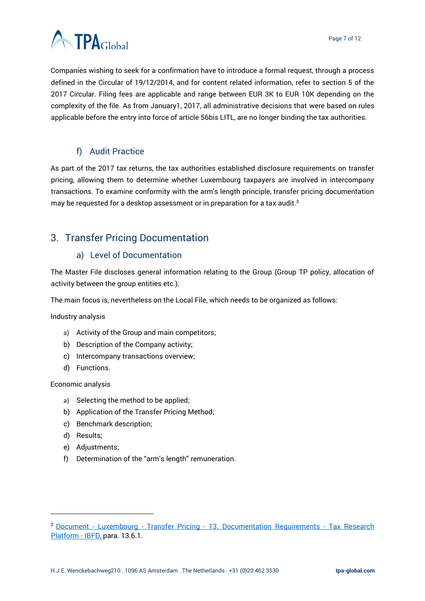

Companies wishing to seek for a confirmation have to introduce a formal request, through a process defined in the Circular of 19/12/2014, and for content related information, refer to section 5 of the 2017 Circular. Filing fees are applicable and range between EUR 3K to EUR 10K depending on the complexity of the file. As from January1, 2017, all administrative decisions that were based on rules applicable before the entry into force of article 56bis LITL, are no longer binding the tax authorities.

#### f) Audit Practice

<span id="page-6-0"></span>As part of the 2017 tax returns, the tax authorities established disclosure requirements on transfer pricing, allowing them to determine whether Luxembourg taxpayers are involved in intercompany transactions. To examine conformity with the arm's length principle, transfer pricing documentation may be requested for a desktop assessment or in preparation for a tax audit.<sup>3</sup>

#### <span id="page-6-2"></span><span id="page-6-1"></span>3. Transfer Pricing Documentation

#### a) Level of Documentation

The Master File discloses general information relating to the Group (Group TP policy, allocation of activity between the group entities etc.).

The main focus is, nevertheless on the Local File, which needs to be organized as follows:

Industry analysis

- a) Activity of the Group and main competitors;
- b) Description of the Company activity;
- c) Intercompany transactions overview;
- d) Functions.

Economic analysis

- a) Selecting the method to be applied;
- b) Application of the Transfer Pricing Method;
- c) Benchmark description;
- d) Results;
- e) Adjustments;
- f) Determination of the "arm's length" remuneration.

<sup>&</sup>lt;sup>3</sup> Document - Luxembourg - Transfer Pricing - [13. Documentation Requirements -](https://research.ibfd.org/#/doc?url=/collections/tp/html/tp_lu_s_013.html) Tax Research [Platform -](https://research.ibfd.org/#/doc?url=/collections/tp/html/tp_lu_s_013.html) IBFD, para. 13.6.1.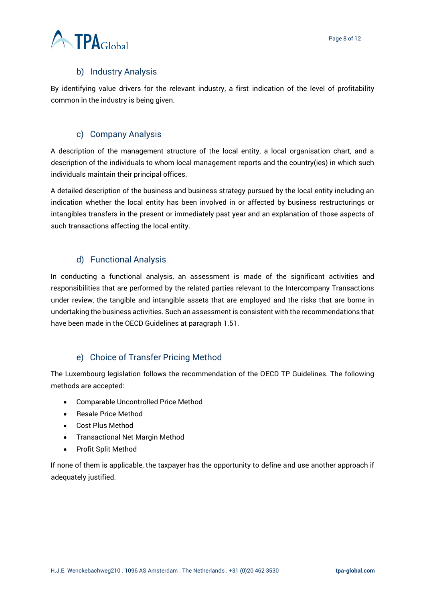#### b) Industry Analysis

<span id="page-7-0"></span>By identifying value drivers for the relevant industry, a first indication of the level of profitability common in the industry is being given.

#### c) Company Analysis

<span id="page-7-1"></span>A description of the management structure of the local entity, a local organisation chart, and a description of the individuals to whom local management reports and the country(ies) in which such individuals maintain their principal offices.

A detailed description of the business and business strategy pursued by the local entity including an indication whether the local entity has been involved in or affected by business restructurings or intangibles transfers in the present or immediately past year and an explanation of those aspects of such transactions affecting the local entity.

#### d) Functional Analysis

<span id="page-7-2"></span>In conducting a functional analysis, an assessment is made of the significant activities and responsibilities that are performed by the related parties relevant to the Intercompany Transactions under review, the tangible and intangible assets that are employed and the risks that are borne in undertaking the business activities. Such an assessment is consistent with the recommendations that have been made in the OECD Guidelines at paragraph 1.51.

#### e) Choice of Transfer Pricing Method

<span id="page-7-3"></span>The Luxembourg legislation follows the recommendation of the OECD TP Guidelines. The following methods are accepted:

- Comparable Uncontrolled Price Method
- Resale Price Method
- Cost Plus Method
- Transactional Net Margin Method
- Profit Split Method

If none of them is applicable, the taxpayer has the opportunity to define and use another approach if adequately justified.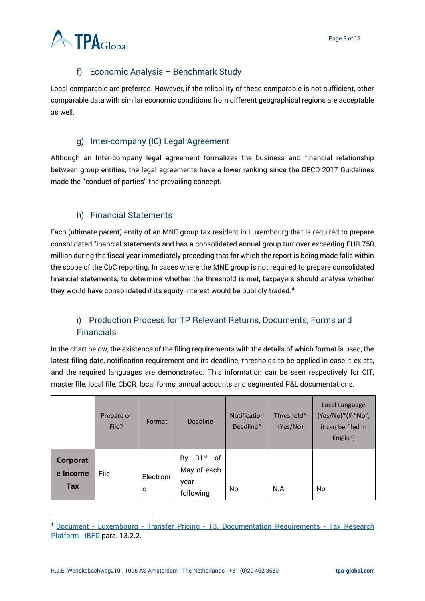

#### f) Economic Analysis – Benchmark Study

<span id="page-8-0"></span>Local comparable are preferred. However, if the reliability of these comparable is not sufficient, other comparable data with similar economic conditions from different geographical regions are acceptable as well.

#### g) Inter-company (IC) Legal Agreement

<span id="page-8-1"></span>Although an Inter-company legal agreement formalizes the business and financial relationship between group entities, the legal agreements have a lower ranking since the OECD 2017 Guidelines made the ''conduct of parties'' the prevailing concept.

#### h) Financial Statements

<span id="page-8-2"></span>Each (ultimate parent) entity of an MNE group tax resident in Luxembourg that is required to prepare consolidated financial statements and has a consolidated annual group turnover exceeding EUR 750 million during the fiscal year immediately preceding that for which the report is being made falls within the scope of the CbC reporting. In cases where the MNE group is not required to prepare consolidated financial statements, to determine whether the threshold is met, taxpayers should analyse whether they would have consolidated if its equity interest would be publicly traded.<sup>4</sup>

#### <span id="page-8-3"></span>i) Production Process for TP Relevant Returns, Documents, Forms and Financials

In the chart below, the existence of the filing requirements with the details of which format is used, the latest filing date, notification requirement and its deadline, thresholds to be applied in case it exists, and the required languages are demonstrated. This information can be seen respectively for CIT, master file, local file, CbCR, local forms, annual accounts and segmented P&L documentations.

|                             | Prepare or<br>File? | Format         | <b>Deadline</b>                                   | <b>Notification</b><br>Deadline* | Threshold*<br>(Yes/No) | Local Language<br>(Yes/No)*(If "No",<br>it can be filed in<br>English) |
|-----------------------------|---------------------|----------------|---------------------------------------------------|----------------------------------|------------------------|------------------------------------------------------------------------|
| Corporat<br>e Income<br>Tax | File                | Electroni<br>c | By 31st<br>of<br>May of each<br>year<br>following | No                               | N.A.                   | No                                                                     |

<sup>4</sup> Document - Luxembourg - Transfer Pricing - [13. Documentation Requirements -](https://research.ibfd.org/#/doc?url=/linkresolver/static/tp_lu_s_13.&refresh=1639498355494%23tp_lu_s_13.) Tax Research [Platform -](https://research.ibfd.org/#/doc?url=/linkresolver/static/tp_lu_s_13.&refresh=1639498355494%23tp_lu_s_13.) IBFD para. 13.2.2.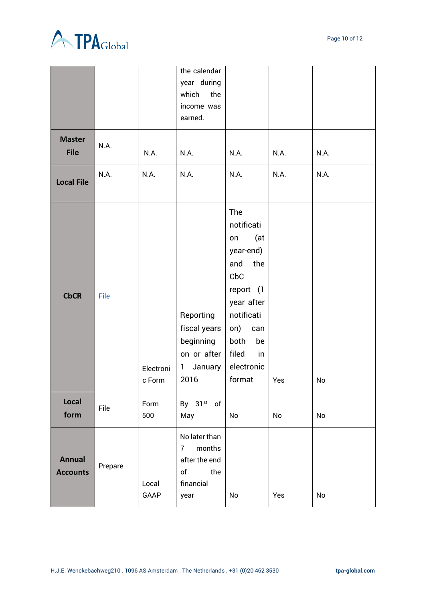



|                                  |             |                     | the calendar<br>year during<br>which<br>the<br>income was<br>earned.                                 |                                                                                                                                                                              |      |      |
|----------------------------------|-------------|---------------------|------------------------------------------------------------------------------------------------------|------------------------------------------------------------------------------------------------------------------------------------------------------------------------------|------|------|
| <b>Master</b><br><b>File</b>     | N.A.        | N.A.                | N.A.                                                                                                 | N.A.                                                                                                                                                                         | N.A. | N.A. |
| <b>Local File</b>                | N.A.        | N.A.                | N.A.                                                                                                 | N.A.                                                                                                                                                                         | N.A. | N.A. |
| <b>CbCR</b>                      | <b>File</b> | Electroni<br>c Form | Reporting<br>fiscal years<br>beginning<br>on or after<br>January<br>1<br>2016                        | The<br>notificati<br>(at<br>on<br>year-end)<br>the<br>and<br>CbC<br>report (1<br>year after<br>notificati<br>on)<br>can<br>both<br>be<br>filed<br>in<br>electronic<br>format | Yes  | No   |
| Local<br>form                    | File        | Form<br>500         | By 31st of<br>May                                                                                    | No                                                                                                                                                                           | No   | No   |
| <b>Annual</b><br><b>Accounts</b> | Prepare     | Local<br>GAAP       | No later than<br>months<br>$7^{\circ}$<br>after the end<br>of<br><b>Example</b><br>financial<br>year | No                                                                                                                                                                           | Yes  | No   |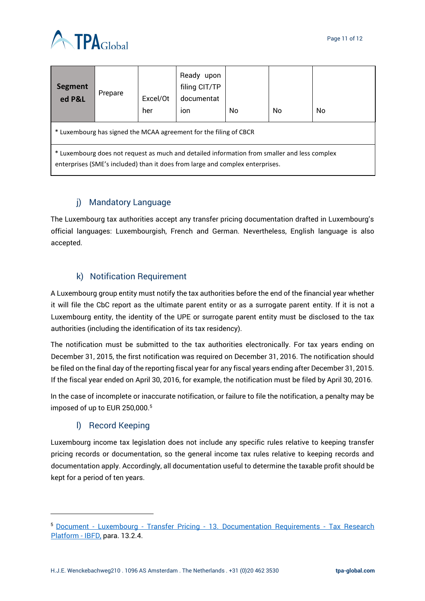



| <b>Segment</b><br>ed P&L                                                                                                                                                      | Prepare | Excel/Ot<br>her | Ready upon<br>filing CIT/TP<br>documentat<br>ion | No. | No | No |  |
|-------------------------------------------------------------------------------------------------------------------------------------------------------------------------------|---------|-----------------|--------------------------------------------------|-----|----|----|--|
| * Luxembourg has signed the MCAA agreement for the filing of CBCR                                                                                                             |         |                 |                                                  |     |    |    |  |
| * Luxembourg does not request as much and detailed information from smaller and less complex<br>enterprises (SME's included) than it does from large and complex enterprises. |         |                 |                                                  |     |    |    |  |

#### j) Mandatory Language

<span id="page-10-0"></span>The Luxembourg tax authorities accept any transfer pricing documentation drafted in Luxembourg's official languages: Luxembourgish, French and German. Nevertheless, English language is also accepted.

#### k) Notification Requirement

<span id="page-10-1"></span>A Luxembourg group entity must notify the tax authorities before the end of the financial year whether it will file the CbC report as the ultimate parent entity or as a surrogate parent entity. If it is not a Luxembourg entity, the identity of the UPE or surrogate parent entity must be disclosed to the tax authorities (including the identification of its tax residency).

The notification must be submitted to the tax authorities electronically. For tax years ending on December 31, 2015, the first notification was required on December 31, 2016. The notification should be filed on the final day of the reporting fiscal year for any fiscal years ending after December 31, 2015. If the fiscal year ended on April 30, 2016, for example, the notification must be filed by April 30, 2016.

In the case of incomplete or inaccurate notification, or failure to file the notification, a penalty may be imposed of up to EUR 250,000.<sup>5</sup>

#### l) Record Keeping

<span id="page-10-2"></span>Luxembourg income tax legislation does not include any specific rules relative to keeping transfer pricing records or documentation, so the general income tax rules relative to keeping records and documentation apply. Accordingly, all documentation useful to determine the taxable profit should be kept for a period of ten years.

<sup>5</sup> Document - Luxembourg - Transfer Pricing - [13. Documentation Requirements -](https://research.ibfd.org/#/doc?url=/collections/tp/html/tp_lu_s_013.html) Tax Research [Platform -](https://research.ibfd.org/#/doc?url=/collections/tp/html/tp_lu_s_013.html) IBFD, para. 13.2.4.